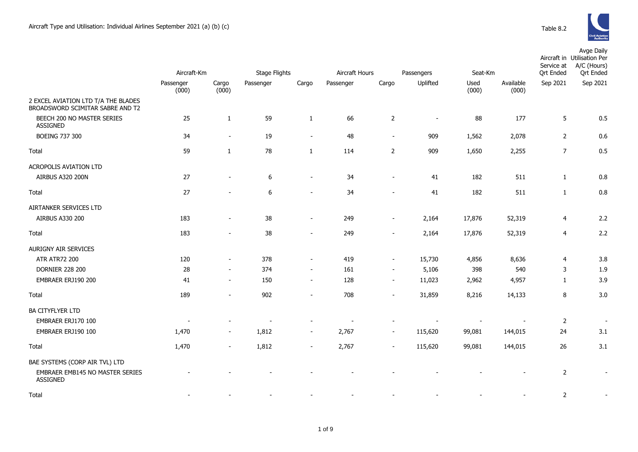

|                                                                         |                    |                          |                      |                          |                |                          |                          |               |                    | Avge Daily<br>Aircraft in Utilisation Per<br>Service at<br>A/C (Hours) |          |  |
|-------------------------------------------------------------------------|--------------------|--------------------------|----------------------|--------------------------|----------------|--------------------------|--------------------------|---------------|--------------------|------------------------------------------------------------------------|----------|--|
|                                                                         | Aircraft-Km        |                          | <b>Stage Flights</b> |                          | Aircraft Hours |                          | Seat-Km<br>Passengers    |               |                    | <b>Qrt Ended</b><br><b>Qrt Ended</b>                                   |          |  |
|                                                                         | Passenger<br>(000) | Cargo<br>(000)           | Passenger            | Cargo                    | Passenger      | Cargo                    | Uplifted                 | Used<br>(000) | Available<br>(000) | Sep 2021                                                               | Sep 2021 |  |
| 2 EXCEL AVIATION LTD T/A THE BLADES<br>BROADSWORD SCIMITAR SABRE AND T2 |                    |                          |                      |                          |                |                          |                          |               |                    |                                                                        |          |  |
| BEECH 200 NO MASTER SERIES<br><b>ASSIGNED</b>                           | 25                 | $\mathbf{1}$             | 59                   | $1\,$                    | 66             | $\overline{2}$           | $\overline{\phantom{a}}$ | 88            | 177                | 5                                                                      | 0.5      |  |
| <b>BOEING 737 300</b>                                                   | 34                 | $\sim$                   | 19                   | $\overline{\phantom{a}}$ | 48             | $\overline{\phantom{a}}$ | 909                      | 1,562         | 2,078              | $\overline{2}$                                                         | 0.6      |  |
| Total                                                                   | 59                 | $\mathbf{1}$             | 78                   | $\mathbf{1}$             | 114            | $\overline{2}$           | 909                      | 1,650         | 2,255              | $\overline{7}$                                                         | 0.5      |  |
| ACROPOLIS AVIATION LTD                                                  |                    |                          |                      |                          |                |                          |                          |               |                    |                                                                        |          |  |
| <b>AIRBUS A320 200N</b>                                                 | 27                 | $\sim$                   | 6                    | $\overline{\phantom{a}}$ | 34             | $\sim$                   | 41                       | 182           | 511                | $\mathbf{1}$                                                           | 0.8      |  |
| Total                                                                   | 27                 |                          | 6                    | $\sim$                   | 34             |                          | 41                       | 182           | 511                | $\mathbf{1}$                                                           | 0.8      |  |
| AIRTANKER SERVICES LTD                                                  |                    |                          |                      |                          |                |                          |                          |               |                    |                                                                        |          |  |
| AIRBUS A330 200                                                         | 183                | $\sim$                   | 38                   | $\sim$                   | 249            | $\sim$                   | 2,164                    | 17,876        | 52,319             | $\overline{4}$                                                         | 2.2      |  |
| Total                                                                   | 183                | $\blacksquare$           | 38                   | $\overline{\phantom{a}}$ | 249            | $\overline{\phantom{a}}$ | 2,164                    | 17,876        | 52,319             | $\overline{4}$                                                         | 2.2      |  |
| AURIGNY AIR SERVICES                                                    |                    |                          |                      |                          |                |                          |                          |               |                    |                                                                        |          |  |
| <b>ATR ATR72 200</b>                                                    | 120                | $\blacksquare$           | 378                  | $\sim$                   | 419            | $\sim$                   | 15,730                   | 4,856         | 8,636              | 4                                                                      | 3.8      |  |
| <b>DORNIER 228 200</b>                                                  | 28                 | $\blacksquare$           | 374                  | $\overline{\phantom{a}}$ | 161            | $\overline{\phantom{a}}$ | 5,106                    | 398           | 540                | 3                                                                      | 1.9      |  |
| EMBRAER ERJ190 200                                                      | 41                 | $\overline{\phantom{a}}$ | 150                  | $\overline{\phantom{a}}$ | 128            | $\overline{\phantom{a}}$ | 11,023                   | 2,962         | 4,957              | $\mathbf{1}$                                                           | 3.9      |  |
| Total                                                                   | 189                | $\overline{\phantom{a}}$ | 902                  | $\sim$                   | 708            | $\sim$                   | 31,859                   | 8,216         | 14,133             | 8                                                                      | 3.0      |  |
| BA CITYFLYER LTD                                                        |                    |                          |                      |                          |                |                          |                          |               |                    |                                                                        |          |  |
| EMBRAER ERJ170 100                                                      |                    |                          |                      |                          |                |                          |                          |               |                    | $\mathbf 2$                                                            |          |  |
| EMBRAER ERJ190 100                                                      | 1,470              | $\overline{\phantom{a}}$ | 1,812                | $\sim$                   | 2,767          | $\sim$                   | 115,620                  | 99,081        | 144,015            | 24                                                                     | 3.1      |  |
| Total                                                                   | 1,470              | $\sim$                   | 1,812                | $\overline{\phantom{a}}$ | 2,767          | $\overline{\phantom{a}}$ | 115,620                  | 99,081        | 144,015            | 26                                                                     | 3.1      |  |
| BAE SYSTEMS (CORP AIR TVL) LTD                                          |                    |                          |                      |                          |                |                          |                          |               |                    |                                                                        |          |  |
| EMBRAER EMB145 NO MASTER SERIES<br>ASSIGNED                             |                    |                          |                      |                          |                |                          |                          |               |                    | $\overline{2}$                                                         |          |  |
| Total                                                                   |                    |                          |                      |                          |                |                          |                          |               |                    | $\overline{2}$                                                         |          |  |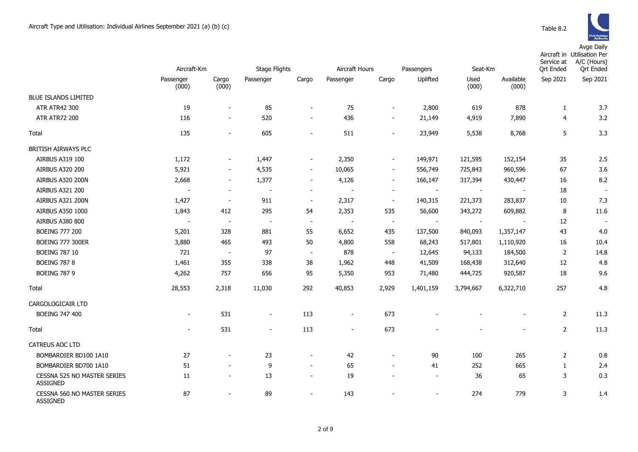Avge Daily

|                                                | Aircraft-Km        |                          | Stage Flights            |                          | Aircraft Hours           |                              | Passengers<br>Seat-Km |                | Service at<br><b>Qrt Ended</b> | Aircraft in Utilisation Per<br>A/C (Hours)<br><b>Qrt Ended</b> |                          |
|------------------------------------------------|--------------------|--------------------------|--------------------------|--------------------------|--------------------------|------------------------------|-----------------------|----------------|--------------------------------|----------------------------------------------------------------|--------------------------|
|                                                | Passenger<br>(000) | Cargo<br>(000)           | Passenger                | Cargo                    | Passenger                | Cargo                        | Uplifted              | Used<br>(000)  | Available<br>(000)             | Sep 2021                                                       | Sep 2021                 |
| <b>BLUE ISLANDS LIMITED</b>                    |                    |                          |                          |                          |                          |                              |                       |                |                                |                                                                |                          |
| ATR ATR42 300                                  | 19                 | $\blacksquare$           | 85                       | $\overline{\phantom{a}}$ | 75                       | $\blacksquare$               | 2,800                 | 619            | 878                            | 1                                                              | 3.7                      |
| <b>ATR ATR72 200</b>                           | 116                | $\overline{\phantom{a}}$ | 520                      | $\overline{\phantom{a}}$ | 436                      | $\blacksquare$               | 21,149                | 4,919          | 7,890                          | 4                                                              | 3.2                      |
| Total                                          | 135                | $\overline{\phantom{a}}$ | 605                      | $\overline{\phantom{a}}$ | 511                      | $\overline{a}$               | 23,949                | 5,538          | 8,768                          | 5                                                              | 3.3                      |
| BRITISH AIRWAYS PLC                            |                    |                          |                          |                          |                          |                              |                       |                |                                |                                                                |                          |
| AIRBUS A319 100                                | 1,172              | $\blacksquare$           | 1,447                    | $\blacksquare$           | 2,350                    | $\blacksquare$               | 149,971               | 121,595        | 152,154                        | 35                                                             | 2.5                      |
| <b>AIRBUS A320 200</b>                         | 5,921              | $\overline{\phantom{a}}$ | 4,535                    | $\sim$                   | 10,065                   | $\blacksquare$               | 556,749               | 725,843        | 960,596                        | 67                                                             | 3.6                      |
| AIRBUS A320 200N                               | 2,668              | $\sim$                   | 1,377                    | $\overline{\phantom{a}}$ | 4,126                    | $\overline{\phantom{a}}$     | 166,147               | 317,394        | 430,447                        | 16                                                             | 8.2                      |
| AIRBUS A321 200                                |                    | $\overline{\phantom{a}}$ | $\overline{\phantom{a}}$ | $\sim$                   |                          | $\overline{\phantom{a}}$     |                       |                |                                | 18                                                             | $\overline{\phantom{a}}$ |
| AIRBUS A321 200N                               | 1,427              | $\overline{\phantom{a}}$ | 911                      | $\overline{\phantom{a}}$ | 2,317                    | $\overline{\phantom{a}}$     | 140,315               | 221,373        | 283,837                        | 10                                                             | 7.3                      |
| AIRBUS A350 1000                               | 1,843              | 412                      | 295                      | 54                       | 2,353                    | 535                          | 56,600                | 343,272        | 609,882                        | 8                                                              | 11.6                     |
| <b>AIRBUS A380 800</b>                         | $\overline{a}$     | $\sim$                   | $\overline{\phantom{a}}$ | $\overline{\phantom{a}}$ | $\overline{a}$           | $\blacksquare$               | $\blacksquare$        | $\blacksquare$ | $\blacksquare$                 | 12                                                             |                          |
| <b>BOEING 777 200</b>                          | 5,201              | 328                      | 881                      | 55                       | 6,652                    | 435                          | 137,500               | 840,093        | 1,357,147                      | 43                                                             | 4.0                      |
| <b>BOEING 777 300ER</b>                        | 3,880              | 465                      | 493                      | 50                       | 4,800                    | 558                          | 68,243                | 517,801        | 1,110,920                      | 16                                                             | 10.4                     |
| <b>BOEING 787 10</b>                           | 721                | $\overline{\phantom{a}}$ | 97                       | $\blacksquare$           | 878                      | $\overline{\phantom{a}}$     | 12,645                | 94,133         | 184,500                        | $\overline{2}$                                                 | 14.8                     |
| <b>BOEING 787 8</b>                            | 1,461              | 355                      | 338                      | 38                       | 1,962                    | 448                          | 41,509                | 168,438        | 312,640                        | 12                                                             | 4.8                      |
| <b>BOEING 787 9</b>                            | 4,262              | 757                      | 656                      | 95                       | 5,350                    | 953                          | 71,480                | 444,725        | 920,587                        | 18                                                             | 9.6                      |
| Total                                          | 28,553             | 2,318                    | 11,030                   | 292                      | 40,853                   | 2,929                        | 1,401,159             | 3,794,667      | 6,322,710                      | 257                                                            | 4.8                      |
| CARGOLOGICAIR LTD                              |                    |                          |                          |                          |                          |                              |                       |                |                                |                                                                |                          |
| <b>BOEING 747 400</b>                          | $\blacksquare$     | 531                      | $\blacksquare$           | 113                      | $\overline{\phantom{a}}$ | 673                          |                       |                | $\qquad \qquad \blacksquare$   | $\overline{2}$                                                 | 11.3                     |
| Total                                          | $\sim$             | 531                      | $\sim$                   | 113                      | $\blacksquare$           | 673                          |                       |                | $\blacksquare$                 | $\overline{2}$                                                 | 11.3                     |
| CATREUS AOC LTD                                |                    |                          |                          |                          |                          |                              |                       |                |                                |                                                                |                          |
| BOMBARDIER BD100 1A10                          | 27                 | $\blacksquare$           | 23                       | $\blacksquare$           | 42                       | $\blacksquare$               | 90                    | 100            | 265                            | $\overline{2}$                                                 | 0.8                      |
| BOMBARDIER BD700 1A10                          | 51                 |                          | 9                        | $\blacksquare$           | 65                       | $\overline{a}$               | 41                    | 252            | 665                            | $\mathbf{1}$                                                   | 2.4                      |
| CESSNA 525 NO MASTER SERIES<br><b>ASSIGNED</b> | 11                 | $\overline{\phantom{0}}$ | 13                       | $\blacksquare$           | 19                       | $\qquad \qquad \blacksquare$ | $\blacksquare$        | 36             | 65                             | 3                                                              | 0.3                      |
| CESSNA 560 NO MASTER SERIES<br>ASSIGNED        | 87                 |                          | 89                       | $\blacksquare$           | 143                      |                              | $\blacksquare$        | 274            | 779                            | 3                                                              | 1.4                      |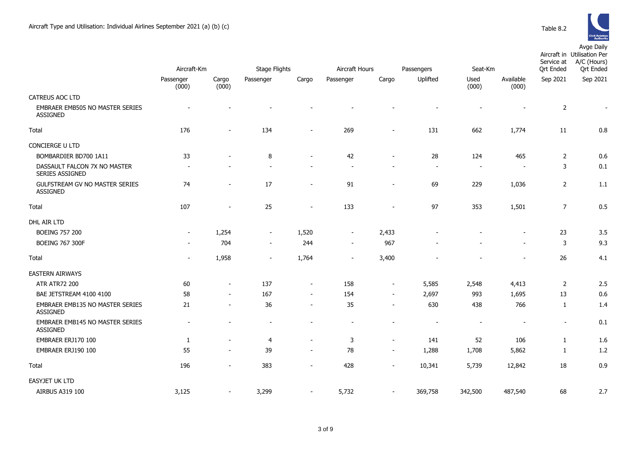

|                                                   | Aircraft-Km              |                | <b>Stage Flights</b>     |                          | Aircraft Hours<br>Passengers |                          |                          | Seat-Km                  |                          | Service at<br><b>Qrt Ended</b> | Avyc Dally<br>Aircraft in Utilisation Per<br>A/C (Hours)<br><b>Qrt Ended</b> |
|---------------------------------------------------|--------------------------|----------------|--------------------------|--------------------------|------------------------------|--------------------------|--------------------------|--------------------------|--------------------------|--------------------------------|------------------------------------------------------------------------------|
|                                                   | Passenger<br>(000)       | Cargo<br>(000) | Passenger                | Cargo                    | Passenger                    | Cargo                    | Uplifted                 | Used<br>(000)            | Available<br>(000)       | Sep 2021                       | Sep 2021                                                                     |
| CATREUS AOC LTD                                   |                          |                |                          |                          |                              |                          |                          |                          |                          |                                |                                                                              |
| EMBRAER EMB505 NO MASTER SERIES<br>ASSIGNED       |                          |                |                          |                          |                              |                          |                          |                          |                          | $\overline{2}$                 |                                                                              |
| Total                                             | 176                      |                | 134                      |                          | 269                          | $\blacksquare$           | 131                      | 662                      | 1,774                    | 11                             | 0.8                                                                          |
| CONCIERGE U LTD                                   |                          |                |                          |                          |                              |                          |                          |                          |                          |                                |                                                                              |
| BOMBARDIER BD700 1A11                             | 33                       |                | 8                        |                          | 42                           | $\overline{\phantom{a}}$ | 28                       | 124                      | 465                      | $\overline{2}$                 | 0.6                                                                          |
| DASSAULT FALCON 7X NO MASTER<br>SERIES ASSIGNED   |                          |                |                          |                          |                              | $\sim$                   | $\overline{\phantom{a}}$ | $\sim$                   |                          | 3                              | 0.1                                                                          |
| <b>GULFSTREAM GV NO MASTER SERIES</b><br>ASSIGNED | 74                       |                | 17                       | $\blacksquare$           | 91                           | $\blacksquare$           | 69                       | 229                      | 1,036                    | $\overline{2}$                 | 1.1                                                                          |
| Total                                             | 107                      |                | 25                       | $\blacksquare$           | 133                          | $\blacksquare$           | 97                       | 353                      | 1,501                    | $\overline{7}$                 | 0.5                                                                          |
| DHL AIR LTD                                       |                          |                |                          |                          |                              |                          |                          |                          |                          |                                |                                                                              |
| <b>BOEING 757 200</b>                             | $\overline{\phantom{a}}$ | 1,254          | $\sim$                   | 1,520                    | $\overline{\phantom{a}}$     | 2,433                    |                          |                          |                          | 23                             | 3.5                                                                          |
| <b>BOEING 767 300F</b>                            |                          | 704            | $\sim$                   | 244                      | $\blacksquare$               | 967                      |                          |                          | $\overline{\phantom{a}}$ | 3                              | 9.3                                                                          |
| Total                                             |                          | 1,958          | $\overline{\phantom{a}}$ | 1,764                    | $\blacksquare$               | 3,400                    |                          |                          |                          | 26                             | 4.1                                                                          |
| <b>EASTERN AIRWAYS</b>                            |                          |                |                          |                          |                              |                          |                          |                          |                          |                                |                                                                              |
| <b>ATR ATR72 200</b>                              | 60                       | $\blacksquare$ | 137                      | $\overline{\phantom{a}}$ | 158                          | $\blacksquare$           | 5,585                    | 2,548                    | 4,413                    | $\overline{2}$                 | 2.5                                                                          |
| BAE JETSTREAM 4100 4100                           | 58                       |                | 167                      | $\overline{\phantom{a}}$ | 154                          | $\sim$                   | 2,697                    | 993                      | 1,695                    | 13                             | 0.6                                                                          |
| EMBRAER EMB135 NO MASTER SERIES<br>ASSIGNED       | 21                       | $\sim$         | 36                       | $\overline{\phantom{a}}$ | 35                           | $\overline{\phantom{a}}$ | 630                      | 438                      | 766                      | $\mathbf{1}$                   | 1.4                                                                          |
| EMBRAER EMB145 NO MASTER SERIES<br>ASSIGNED       |                          |                |                          |                          |                              | $\blacksquare$           | $\overline{\phantom{a}}$ | $\overline{\phantom{a}}$ |                          | $\blacksquare$                 | 0.1                                                                          |
| EMBRAER ERJ170 100                                | $\mathbf{1}$             |                | 4                        | $\overline{\phantom{a}}$ | 3                            | $\blacksquare$           | 141                      | 52                       | 106                      | $\mathbf{1}$                   | 1.6                                                                          |
| EMBRAER ERJ190 100                                | 55                       |                | 39                       |                          | 78                           | $\blacksquare$           | 1,288                    | 1,708                    | 5,862                    | $\mathbf{1}$                   | 1.2                                                                          |
| Total                                             | 196                      |                | 383                      | $\sim$                   | 428                          | $\blacksquare$           | 10,341                   | 5,739                    | 12,842                   | 18                             | 0.9                                                                          |
| EASYJET UK LTD                                    |                          |                |                          |                          |                              |                          |                          |                          |                          |                                |                                                                              |
| AIRBUS A319 100                                   | 3,125                    |                | 3,299                    |                          | 5,732                        | $\blacksquare$           | 369,758                  | 342,500                  | 487,540                  | 68                             | 2.7                                                                          |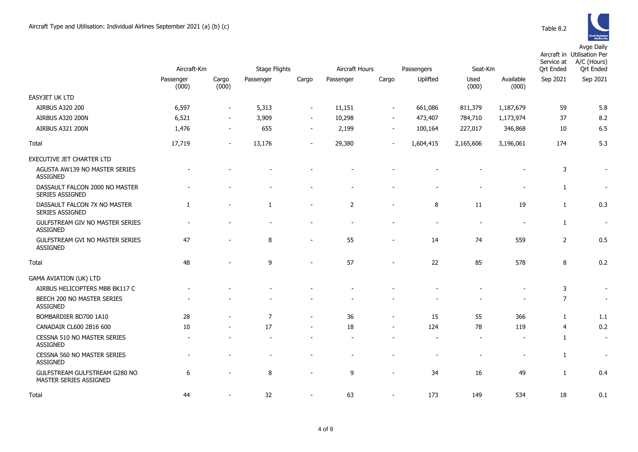

|                                                           | Aircraft-Km        |                          | Stage Flights            |                          | Aircraft Hours<br>Passengers |                          |           | Seat-Km                  |                          | Service at<br><b>Qrt Ended</b> | Aircraft in Utilisation Per<br>A/C (Hours)<br><b>Qrt Ended</b> |
|-----------------------------------------------------------|--------------------|--------------------------|--------------------------|--------------------------|------------------------------|--------------------------|-----------|--------------------------|--------------------------|--------------------------------|----------------------------------------------------------------|
|                                                           | Passenger<br>(000) | Cargo<br>(000)           | Passenger                | Cargo                    | Passenger                    | Cargo                    | Uplifted  | Used<br>(000)            | Available<br>(000)       | Sep 2021                       | Sep 2021                                                       |
| <b>EASYJET UK LTD</b>                                     |                    |                          |                          |                          |                              |                          |           |                          |                          |                                |                                                                |
| <b>AIRBUS A320 200</b>                                    | 6,597              | $\blacksquare$           | 5,313                    | $\overline{\phantom{a}}$ | 11,151                       | $\overline{\phantom{a}}$ | 661,086   | 811,379                  | 1,187,679                | 59                             | 5.8                                                            |
| AIRBUS A320 200N                                          | 6,521              | $\blacksquare$           | 3,909                    | $\overline{\phantom{a}}$ | 10,298                       | $\overline{\phantom{a}}$ | 473,407   | 784,710                  | 1,173,974                | 37                             | 8.2                                                            |
| AIRBUS A321 200N                                          | 1,476              | $\overline{\phantom{m}}$ | 655                      | $\overline{\phantom{a}}$ | 2,199                        | $\overline{\phantom{a}}$ | 100,164   | 227,017                  | 346,868                  | 10                             | 6.5                                                            |
| Total                                                     | 17,719             | $\overline{\phantom{a}}$ | 13,176                   | $\overline{a}$           | 29,380                       | $\overline{\phantom{a}}$ | 1,604,415 | 2,165,606                | 3,196,061                | 174                            | 5.3                                                            |
| EXECUTIVE JET CHARTER LTD                                 |                    |                          |                          |                          |                              |                          |           |                          |                          |                                |                                                                |
| AGUSTA AW139 NO MASTER SERIES<br><b>ASSIGNED</b>          |                    |                          |                          |                          |                              |                          |           |                          |                          | 3                              |                                                                |
| DASSAULT FALCON 2000 NO MASTER<br>SERIES ASSIGNED         |                    |                          |                          |                          |                              |                          |           | $\overline{a}$           |                          | 1                              | $\overline{\phantom{a}}$                                       |
| DASSAULT FALCON 7X NO MASTER<br>SERIES ASSIGNED           | 1                  | $\overline{a}$           | 1                        | $\overline{a}$           | $\overline{2}$               | $\overline{a}$           | 8         | 11                       | 19                       | $\mathbf{1}$                   | 0.3                                                            |
| <b>GULFSTREAM GIV NO MASTER SERIES</b><br><b>ASSIGNED</b> |                    |                          | $\overline{\phantom{a}}$ | $\overline{\phantom{a}}$ |                              |                          |           | $\overline{\phantom{a}}$ | ٠                        | 1                              | $\overline{\phantom{a}}$                                       |
| GULFSTREAM GVI NO MASTER SERIES<br><b>ASSIGNED</b>        | 47                 |                          | 8                        | $\overline{\phantom{0}}$ | 55                           | $\overline{\phantom{a}}$ | 14        | 74                       | 559                      | $\overline{2}$                 | 0.5                                                            |
| Total                                                     | 48                 |                          | 9                        |                          | 57                           |                          | 22        | 85                       | 578                      | 8                              | 0.2                                                            |
| <b>GAMA AVIATION (UK) LTD</b>                             |                    |                          |                          |                          |                              |                          |           |                          |                          |                                |                                                                |
| AIRBUS HELICOPTERS MBB BK117 C                            |                    |                          |                          |                          |                              |                          |           |                          |                          | 3                              | $\overline{\phantom{a}}$                                       |
| BEECH 200 NO MASTER SERIES<br><b>ASSIGNED</b>             |                    |                          |                          |                          |                              |                          |           | $\overline{a}$           | $\overline{\phantom{a}}$ | $\overline{7}$                 | $\blacksquare$                                                 |
| BOMBARDIER BD700 1A10                                     | 28                 | $\overline{a}$           | $\overline{7}$           | $\overline{\phantom{a}}$ | 36                           | $\overline{\phantom{a}}$ | 15        | 55                       | 366                      | $\mathbf{1}$                   | 1.1                                                            |
| CANADAIR CL600 2B16 600                                   | 10                 | $\overline{a}$           | 17                       | $\overline{\phantom{a}}$ | 18                           | $\overline{\phantom{a}}$ | 124       | 78                       | 119                      | $\overline{4}$                 | 0.2                                                            |
| CESSNA 510 NO MASTER SERIES<br><b>ASSIGNED</b>            |                    |                          |                          |                          |                              | $\overline{\phantom{a}}$ |           | $\sim$                   | ٠                        | $\mathbf{1}$                   | $\overline{\phantom{a}}$                                       |
| <b>CESSNA 560 NO MASTER SERIES</b><br><b>ASSIGNED</b>     |                    |                          | $\overline{\phantom{0}}$ |                          | $\blacksquare$               |                          |           | $\overline{\phantom{a}}$ | $\overline{\phantom{a}}$ | 1                              | $\overline{\phantom{a}}$                                       |
| GULFSTREAM GULFSTREAM G280 NO<br>MASTER SERIES ASSIGNED   | 6                  | $\overline{\phantom{0}}$ | 8                        | $\overline{a}$           | 9                            | $\blacksquare$           | 34        | 16                       | 49                       | 1                              | 0.4                                                            |
| Total                                                     | 44                 |                          | 32                       | $\overline{a}$           | 63                           | $\overline{\phantom{a}}$ | 173       | 149                      | 534                      | 18                             | 0.1                                                            |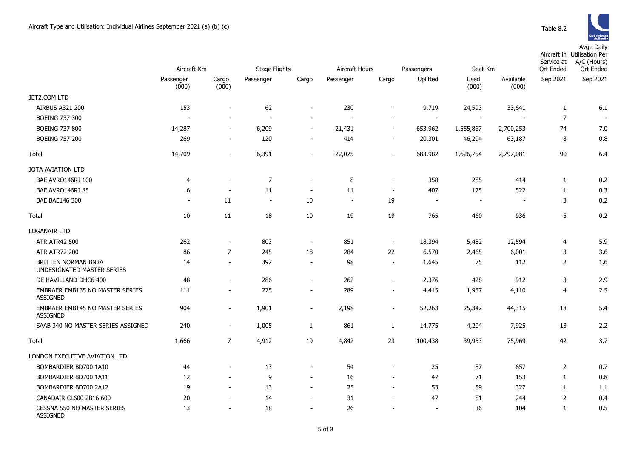Avge Daily

|                                                    | Aircraft-Km              |                          | <b>Stage Flights</b>     |                          | Aircraft Hours |                          | Passengers<br>Seat-Km    |               |                    | Service at<br>Ort Ended | Aircraft in Utilisation Per<br>A/C (Hours)<br><b>Ort Ended</b> |
|----------------------------------------------------|--------------------------|--------------------------|--------------------------|--------------------------|----------------|--------------------------|--------------------------|---------------|--------------------|-------------------------|----------------------------------------------------------------|
|                                                    | Passenger<br>(000)       | Cargo<br>(000)           | Passenger                | Cargo                    | Passenger      | Cargo                    | Uplifted                 | Used<br>(000) | Available<br>(000) | Sep 2021                | Sep 2021                                                       |
| JET2.COM LTD                                       |                          |                          |                          |                          |                |                          |                          |               |                    |                         |                                                                |
| <b>AIRBUS A321 200</b>                             | 153                      | $\overline{\phantom{a}}$ | 62                       | $\blacksquare$           | 230            | $\overline{\phantom{a}}$ | 9,719                    | 24,593        | 33,641             | $\mathbf{1}$            | 6.1                                                            |
| <b>BOEING 737 300</b>                              |                          | $\blacksquare$           | ÷,                       | $\overline{a}$           |                | $\blacksquare$           |                          |               |                    | $\overline{7}$          |                                                                |
| <b>BOEING 737 800</b>                              | 14,287                   | $\sim$                   | 6,209                    | $\overline{a}$           | 21,431         | $\sim$                   | 653,962                  | 1,555,867     | 2,700,253          | 74                      | 7.0                                                            |
| <b>BOEING 757 200</b>                              | 269                      | $\blacksquare$           | 120                      | $\blacksquare$           | 414            | $\blacksquare$           | 20,301                   | 46,294        | 63,187             | 8                       | 0.8                                                            |
| Total                                              | 14,709                   | $\blacksquare$           | 6,391                    | $\overline{\phantom{a}}$ | 22,075         | $\blacksquare$           | 683,982                  | 1,626,754     | 2,797,081          | 90                      | 6.4                                                            |
| JOTA AVIATION LTD                                  |                          |                          |                          |                          |                |                          |                          |               |                    |                         |                                                                |
| BAE AVRO146RJ 100                                  | $\overline{4}$           |                          | $\overline{7}$           | $\overline{\phantom{a}}$ | 8              | $\overline{\phantom{a}}$ | 358                      | 285           | 414                | $\mathbf{1}$            | 0.2                                                            |
| BAE AVRO146RJ 85                                   | 6                        | $\overline{a}$           | 11                       | $\overline{\phantom{a}}$ | 11             | $\overline{\phantom{m}}$ | 407                      | 175           | 522                | $\mathbf{1}$            | 0.3                                                            |
| <b>BAE BAE146 300</b>                              | $\overline{\phantom{a}}$ | 11                       | $\overline{\phantom{a}}$ | 10                       |                | 19                       | $\blacksquare$           |               |                    | 3                       | 0.2                                                            |
| Total                                              | 10                       | 11                       | 18                       | 10                       | 19             | 19                       | 765                      | 460           | 936                | 5                       | 0.2                                                            |
| <b>LOGANAIR LTD</b>                                |                          |                          |                          |                          |                |                          |                          |               |                    |                         |                                                                |
| <b>ATR ATR42 500</b>                               | 262                      | $\blacksquare$           | 803                      | $\overline{\phantom{a}}$ | 851            | $\blacksquare$           | 18,394                   | 5,482         | 12,594             | 4                       | 5.9                                                            |
| <b>ATR ATR72 200</b>                               | 86                       | $\overline{7}$           | 245                      | 18                       | 284            | 22                       | 6,570                    | 2,465         | 6,001              | 3                       | 3.6                                                            |
| BRITTEN NORMAN BN2A<br>UNDESIGNATED MASTER SERIES  | 14                       | $\blacksquare$           | 397                      | $\blacksquare$           | 98             | $\blacksquare$           | 1,645                    | 75            | 112                | $\overline{2}$          | 1.6                                                            |
| DE HAVILLAND DHC6 400                              | 48                       | $\blacksquare$           | 286                      | $\overline{\phantom{a}}$ | 262            | $\overline{\phantom{a}}$ | 2,376                    | 428           | 912                | 3                       | 2.9                                                            |
| EMBRAER EMB135 NO MASTER SERIES<br><b>ASSIGNED</b> | 111                      | $\overline{\phantom{a}}$ | 275                      | $\overline{\phantom{a}}$ | 289            | $\overline{\phantom{a}}$ | 4,415                    | 1,957         | 4,110              | 4                       | 2.5                                                            |
| EMBRAER EMB145 NO MASTER SERIES<br><b>ASSIGNED</b> | 904                      | $\overline{\phantom{a}}$ | 1,901                    | $\overline{\phantom{a}}$ | 2,198          | $\overline{\phantom{m}}$ | 52,263                   | 25,342        | 44,315             | 13                      | 5.4                                                            |
| SAAB 340 NO MASTER SERIES ASSIGNED                 | 240                      | $\sim$                   | 1,005                    | 1                        | 861            | $\mathbf{1}$             | 14,775                   | 4,204         | 7,925              | 13                      | 2.2                                                            |
| Total                                              | 1,666                    | $\overline{7}$           | 4,912                    | 19                       | 4,842          | 23                       | 100,438                  | 39,953        | 75,969             | 42                      | 3.7                                                            |
| LONDON EXECUTIVE AVIATION LTD                      |                          |                          |                          |                          |                |                          |                          |               |                    |                         |                                                                |
| BOMBARDIER BD700 1A10                              | 44                       |                          | 13                       | $\overline{\phantom{a}}$ | 54             | $\blacksquare$           | 25                       | 87            | 657                | $\overline{2}$          | 0.7                                                            |
| BOMBARDIER BD700 1A11                              | 12                       | $\blacksquare$           | 9                        | $\overline{\phantom{a}}$ | 16             | $\mathbf{r}$             | 47                       | 71            | 153                | $\mathbf{1}$            | 0.8                                                            |
| BOMBARDIER BD700 2A12                              | 19                       | $\overline{\phantom{a}}$ | 13                       | $\overline{\phantom{a}}$ | 25             | $\blacksquare$           | 53                       | 59            | 327                | $\mathbf{1}$            | 1.1                                                            |
| CANADAIR CL600 2B16 600                            | 20                       | $\overline{a}$           | 14                       | $\overline{\phantom{a}}$ | 31             | $\sim$                   | 47                       | 81            | 244                | $\overline{2}$          | 0.4                                                            |
| CESSNA 550 NO MASTER SERIES<br>ASSIGNED            | 13                       | $\overline{a}$           | 18                       | $\blacksquare$           | 26             |                          | $\overline{\phantom{a}}$ | 36            | 104                | $\mathbf{1}$            | 0.5                                                            |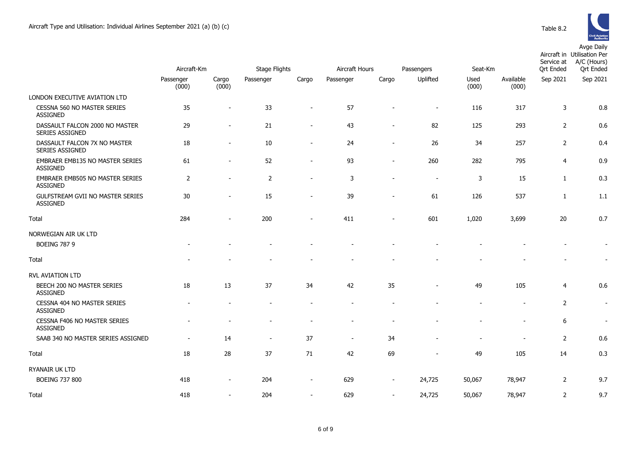

|                                                     | Aircraft-Km        |                          | <b>Stage Flights</b> |                          |                             |                          | Passengers               | Seat-Km       |                          | Service at<br><b>Ort Ended</b> | Aircraft in Utilisation Per<br>A/C (Hours)<br><b>Ort Ended</b> |
|-----------------------------------------------------|--------------------|--------------------------|----------------------|--------------------------|-----------------------------|--------------------------|--------------------------|---------------|--------------------------|--------------------------------|----------------------------------------------------------------|
|                                                     | Passenger<br>(000) | Cargo<br>(000)           | Passenger            | Cargo                    | Aircraft Hours<br>Passenger | Cargo                    | Uplifted                 | Used<br>(000) | Available<br>(000)       | Sep 2021                       | Sep 2021                                                       |
| LONDON EXECUTIVE AVIATION LTD                       |                    |                          |                      |                          |                             |                          |                          |               |                          |                                |                                                                |
| CESSNA 560 NO MASTER SERIES<br><b>ASSIGNED</b>      | 35                 |                          | 33                   |                          | 57                          |                          | $\blacksquare$           | 116           | 317                      | $\mathsf{3}$                   | 0.8                                                            |
| DASSAULT FALCON 2000 NO MASTER<br>SERIES ASSIGNED   | 29                 | $\overline{\phantom{a}}$ | 21                   | $\overline{\phantom{a}}$ | 43                          |                          | 82                       | 125           | 293                      | $\overline{2}$                 | 0.6                                                            |
| DASSAULT FALCON 7X NO MASTER<br>SERIES ASSIGNED     | 18                 | $\overline{\phantom{a}}$ | $10\,$               | $\overline{\phantom{a}}$ | 24                          |                          | 26                       | 34            | 257                      | $\overline{2}$                 | 0.4                                                            |
| EMBRAER EMB135 NO MASTER SERIES<br><b>ASSIGNED</b>  | 61                 | $\overline{\phantom{a}}$ | 52                   | $\overline{\phantom{a}}$ | 93                          | $\sim$                   | 260                      | 282           | 795                      | $\overline{4}$                 | 0.9                                                            |
| EMBRAER EMB505 NO MASTER SERIES<br><b>ASSIGNED</b>  | $\overline{2}$     |                          | $\overline{2}$       | $\overline{\phantom{a}}$ | 3                           |                          | $\overline{\phantom{a}}$ | 3             | 15                       | $\mathbf{1}$                   | 0.3                                                            |
| GULFSTREAM GVII NO MASTER SERIES<br><b>ASSIGNED</b> | 30                 |                          | 15                   | $\overline{\phantom{a}}$ | 39                          |                          | 61                       | 126           | 537                      | 1                              | 1.1                                                            |
| Total                                               | 284                |                          | 200                  |                          | 411                         |                          | 601                      | 1,020         | 3,699                    | 20                             | 0.7                                                            |
| NORWEGIAN AIR UK LTD                                |                    |                          |                      |                          |                             |                          |                          |               |                          |                                |                                                                |
| <b>BOEING 787 9</b>                                 |                    |                          |                      |                          |                             |                          |                          |               |                          |                                | $\overline{\phantom{a}}$                                       |
| Total                                               |                    |                          |                      |                          |                             |                          |                          |               |                          |                                | $\overline{\phantom{a}}$                                       |
| RVL AVIATION LTD                                    |                    |                          |                      |                          |                             |                          |                          |               |                          |                                |                                                                |
| BEECH 200 NO MASTER SERIES<br>ASSIGNED              | 18                 | 13                       | 37                   | 34                       | 42                          | 35                       | $\overline{\phantom{a}}$ | 49            | 105                      | $\overline{4}$                 | 0.6                                                            |
| CESSNA 404 NO MASTER SERIES<br><b>ASSIGNED</b>      |                    |                          |                      |                          |                             |                          |                          |               | ÷                        | $\overline{2}$                 | $\overline{\phantom{a}}$                                       |
| CESSNA F406 NO MASTER SERIES<br><b>ASSIGNED</b>     |                    |                          |                      |                          |                             |                          |                          |               | $\blacksquare$           | $\boldsymbol{6}$               | $\blacksquare$                                                 |
| SAAB 340 NO MASTER SERIES ASSIGNED                  |                    | 14                       | $\sim$               | 37                       | $\overline{\phantom{a}}$    | 34                       |                          |               | $\overline{\phantom{a}}$ | $\overline{2}$                 | 0.6                                                            |
| Total                                               | 18                 | 28                       | 37                   | 71                       | 42                          | 69                       |                          | 49            | 105                      | 14                             | 0.3                                                            |
| RYANAIR UK LTD                                      |                    |                          |                      |                          |                             |                          |                          |               |                          |                                |                                                                |
| <b>BOEING 737 800</b>                               | 418                | $\overline{\phantom{a}}$ | 204                  | $\overline{\phantom{a}}$ | 629                         | $\overline{\phantom{a}}$ | 24,725                   | 50,067        | 78,947                   | $\overline{2}$                 | 9.7                                                            |
| Total                                               | 418                | $\sim$                   | 204                  | $\sim$                   | 629                         | $\sim$                   | 24,725                   | 50,067        | 78,947                   | $\overline{2}$                 | 9.7                                                            |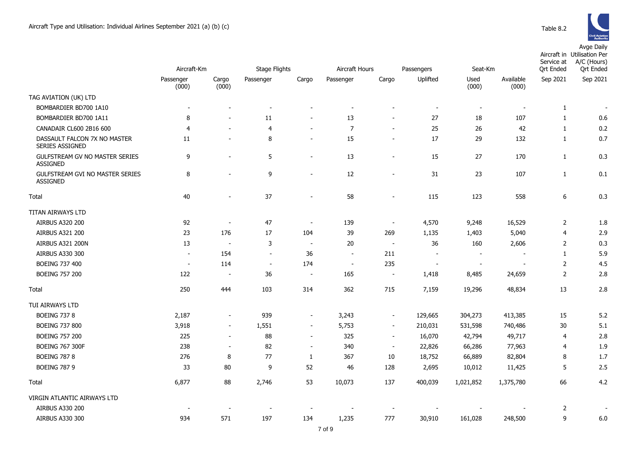

|                                                    |                          |                          |                          |                          | Aircraft Hours           |                          |                          |                          |                          | Service at       | Aircraft in Utilisation Per<br>A/C (Hours) |
|----------------------------------------------------|--------------------------|--------------------------|--------------------------|--------------------------|--------------------------|--------------------------|--------------------------|--------------------------|--------------------------|------------------|--------------------------------------------|
|                                                    | Aircraft-Km              |                          | <b>Stage Flights</b>     |                          |                          |                          | Passengers               | Seat-Km                  |                          | <b>Ort Ended</b> | <b>Qrt Ended</b>                           |
|                                                    | Passenger<br>(000)       | Cargo<br>(000)           | Passenger                | Cargo                    | Passenger                | Cargo                    | Uplifted                 | Used<br>(000)            | Available<br>(000)       | Sep 2021         | Sep 2021                                   |
| TAG AVIATION (UK) LTD                              |                          |                          |                          |                          |                          |                          |                          |                          |                          |                  |                                            |
| BOMBARDIER BD700 1A10                              | $\overline{\phantom{a}}$ |                          | $\overline{\phantom{a}}$ | $\blacksquare$           | $\overline{\phantom{a}}$ | $\blacksquare$           | $\blacksquare$           | $\blacksquare$           | $\overline{\phantom{a}}$ | $\mathbf{1}$     |                                            |
| BOMBARDIER BD700 1A11                              | 8                        |                          | 11                       | $\overline{\phantom{a}}$ | 13                       | $\overline{\phantom{a}}$ | 27                       | 18                       | 107                      | $\mathbf{1}$     | 0.6                                        |
| CANADAIR CL600 2B16 600                            | $\overline{4}$           | $\overline{\phantom{a}}$ | $\overline{4}$           | $\sim$                   | $\overline{7}$           | $\blacksquare$           | 25                       | 26                       | 42                       | $\mathbf{1}$     | 0.2                                        |
| DASSAULT FALCON 7X NO MASTER<br>SERIES ASSIGNED    | 11                       |                          | 8                        | $\blacksquare$           | 15                       | $\blacksquare$           | 17                       | 29                       | 132                      | $\mathbf{1}$     | 0.7                                        |
| GULFSTREAM GV NO MASTER SERIES<br><b>ASSIGNED</b>  | 9                        |                          | 5                        | $\sim$                   | 13                       | $\overline{\phantom{a}}$ | 15                       | 27                       | 170                      | $\mathbf{1}$     | 0.3                                        |
| GULFSTREAM GVI NO MASTER SERIES<br><b>ASSIGNED</b> | 8                        |                          | 9                        | $\sim$                   | 12                       | $\overline{a}$           | 31                       | 23                       | 107                      | $\mathbf{1}$     | 0.1                                        |
| Total                                              | 40                       |                          | 37                       | $\blacksquare$           | 58                       | $\blacksquare$           | 115                      | 123                      | 558                      | 6                | 0.3                                        |
| TITAN AIRWAYS LTD                                  |                          |                          |                          |                          |                          |                          |                          |                          |                          |                  |                                            |
| AIRBUS A320 200                                    | 92                       | $\sim$                   | 47                       | $\sim$                   | 139                      | $\blacksquare$           | 4,570                    | 9,248                    | 16,529                   | $\overline{2}$   | 1.8                                        |
| AIRBUS A321 200                                    | 23                       | 176                      | 17                       | 104                      | 39                       | 269                      | 1,135                    | 1,403                    | 5,040                    | $\overline{4}$   | 2.9                                        |
| AIRBUS A321 200N                                   | 13                       | $\overline{\phantom{a}}$ | 3                        | $\sim$                   | 20                       | $\sim$                   | 36                       | 160                      | 2,606                    | $\overline{2}$   | 0.3                                        |
| AIRBUS A330 300                                    | $\overline{\phantom{a}}$ | 154                      | $\overline{\phantom{a}}$ | 36                       | $\overline{\phantom{a}}$ | 211                      | $\blacksquare$           | $\sim$                   | $\overline{a}$           | $\mathbf{1}$     | 5.9                                        |
| <b>BOEING 737 400</b>                              | $\overline{\phantom{a}}$ | 114                      | $\sim$                   | 174                      | $\blacksquare$           | 235                      | $\overline{\phantom{a}}$ | $\overline{\phantom{a}}$ | $\overline{a}$           | $\overline{2}$   | 4.5                                        |
| <b>BOEING 757 200</b>                              | 122                      | $\sim$                   | 36                       | $\blacksquare$           | 165                      | $\blacksquare$           | 1,418                    | 8,485                    | 24,659                   | $\overline{2}$   | 2.8                                        |
| Total                                              | 250                      | 444                      | 103                      | 314                      | 362                      | 715                      | 7,159                    | 19,296                   | 48,834                   | 13               | 2.8                                        |
| TUI AIRWAYS LTD                                    |                          |                          |                          |                          |                          |                          |                          |                          |                          |                  |                                            |
| <b>BOEING 737 8</b>                                | 2,187                    | $\overline{\phantom{a}}$ | 939                      | $\sim$                   | 3,243                    | $\blacksquare$           | 129,665                  | 304,273                  | 413,385                  | 15               | 5.2                                        |
| <b>BOEING 737 800</b>                              | 3,918                    | $\sim$                   | 1,551                    | $\blacksquare$           | 5,753                    | $\blacksquare$           | 210,031                  | 531,598                  | 740,486                  | 30               | 5.1                                        |
| <b>BOEING 757 200</b>                              | 225                      | $\sim$                   | 88                       | $\sim$                   | 325                      | $\sim$                   | 16,070                   | 42,794                   | 49,717                   | $\overline{4}$   | 2.8                                        |
| <b>BOEING 767 300F</b>                             | 238                      | $\sim$                   | 82                       | $\overline{\phantom{a}}$ | 340                      | $\overline{\phantom{a}}$ | 22,826                   | 66,286                   | 77,963                   | $\overline{4}$   | 1.9                                        |
| <b>BOEING 787 8</b>                                | 276                      | 8                        | 77                       | $\mathbf{1}$             | 367                      | 10                       | 18,752                   | 66,889                   | 82,804                   | 8                | 1.7                                        |
| <b>BOEING 787 9</b>                                | 33                       | 80                       | 9                        | 52                       | 46                       | 128                      | 2,695                    | 10,012                   | 11,425                   | 5                | 2.5                                        |
| Total                                              | 6,877                    | 88                       | 2,746                    | 53                       | 10,073                   | 137                      | 400,039                  | 1,021,852                | 1,375,780                | 66               | 4.2                                        |
| VIRGIN ATLANTIC AIRWAYS LTD                        |                          |                          |                          |                          |                          |                          |                          |                          |                          |                  |                                            |
| AIRBUS A330 200                                    |                          |                          |                          |                          |                          |                          |                          |                          |                          | $\overline{2}$   |                                            |
| AIRBUS A330 300                                    | 934                      | 571                      | 197                      | 134                      | 1,235                    | 777                      | 30,910                   | 161,028                  | 248,500                  | 9                | 6.0                                        |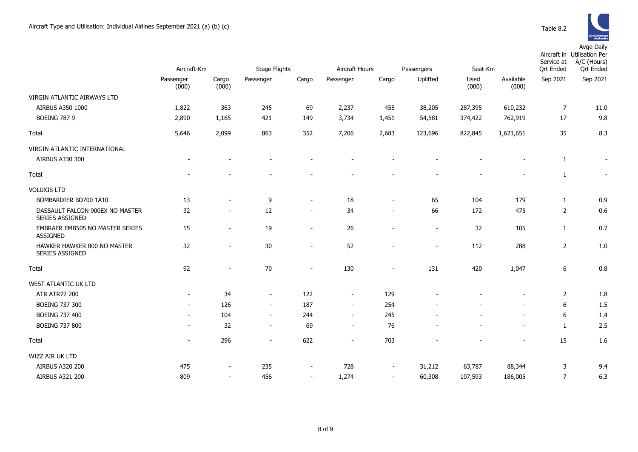

|                                                    | Aircraft-Km              |                | <b>Stage Flights</b>     |                          | Aircraft Hours<br>Passengers |       |                | Seat-Km       |                    | Aircraft in Utilisation Per<br>A/C (Hours)<br>Service at<br>Ort Ended<br><b>Qrt Ended</b> |                          |
|----------------------------------------------------|--------------------------|----------------|--------------------------|--------------------------|------------------------------|-------|----------------|---------------|--------------------|-------------------------------------------------------------------------------------------|--------------------------|
|                                                    | Passenger<br>(000)       | Cargo<br>(000) | Passenger                | Cargo                    | Passenger                    | Cargo | Uplifted       | Used<br>(000) | Available<br>(000) | Sep 2021                                                                                  | Sep 2021                 |
| VIRGIN ATLANTIC AIRWAYS LTD                        |                          |                |                          |                          |                              |       |                |               |                    |                                                                                           |                          |
| AIRBUS A350 1000                                   | 1,822                    | 363            | 245                      | 69                       | 2,237                        | 455   | 38,205         | 287,395       | 610,232            | 7                                                                                         | 11.0                     |
| <b>BOEING 787 9</b>                                | 2,890                    | 1,165          | 421                      | 149                      | 3,734                        | 1,451 | 54,581         | 374,422       | 762,919            | 17                                                                                        | 9.8                      |
| Total                                              | 5,646                    | 2,099          | 863                      | 352                      | 7,206                        | 2,683 | 123,696        | 822,845       | 1,621,651          | 35                                                                                        | 8.3                      |
| VIRGIN ATLANTIC INTERNATIONAL<br>AIRBUS A330 300   |                          |                |                          |                          |                              |       |                |               |                    | $\mathbf{1}$                                                                              | $\overline{\phantom{a}}$ |
| Total                                              |                          |                |                          |                          |                              |       |                |               |                    | 1                                                                                         | $\blacksquare$           |
| <b>VOLUXIS LTD</b>                                 |                          |                |                          |                          |                              |       |                |               |                    |                                                                                           |                          |
| BOMBARDIER BD700 1A10                              | 13                       |                | 9                        |                          | 18                           |       | 65             | 104           | 179                | $\mathbf{1}$                                                                              | 0.9                      |
| DASSAULT FALCON 900EX NO MASTER<br>SERIES ASSIGNED | 32                       |                | 12                       | $\sim$                   | 34                           |       | 66             | 172           | 475                | $\overline{2}$                                                                            | 0.6                      |
| EMBRAER EMB505 NO MASTER SERIES<br><b>ASSIGNED</b> | 15                       |                | 19                       | $\sim$                   | 26                           |       | $\sim$         | 32            | 105                | $\mathbf{1}$                                                                              | 0.7                      |
| HAWKER HAWKER 800 NO MASTER<br>SERIES ASSIGNED     | 32                       |                | 30                       |                          | 52                           |       | $\blacksquare$ | 112           | 288                | $\overline{2}$                                                                            | 1.0                      |
| Total                                              | 92                       |                | 70                       |                          | 130                          |       | 131            | 420           | 1,047              | 6                                                                                         | 0.8                      |
| WEST ATLANTIC UK LTD                               |                          |                |                          |                          |                              |       |                |               |                    |                                                                                           |                          |
| <b>ATR ATR72 200</b>                               | $\overline{\phantom{a}}$ | 34             | $\sim$                   | 122                      | $\overline{\phantom{a}}$     | 129   |                |               |                    | 2                                                                                         | 1.8                      |
| <b>BOEING 737 300</b>                              |                          | 126            | $\overline{\phantom{a}}$ | 187                      | $\sim$                       | 254   |                |               |                    | 6                                                                                         | 1.5                      |
| <b>BOEING 737 400</b>                              | $\sim$                   | 104            | $\sim$                   | 244                      | $\sim$                       | 245   |                |               |                    | 6                                                                                         | 1.4                      |
| <b>BOEING 737 800</b>                              |                          | 32             | $\sim$                   | 69                       | $\sim$                       | 76    |                |               | $\blacksquare$     | 1                                                                                         | 2.5                      |
| Total                                              | $\overline{\phantom{a}}$ | 296            | $\overline{\phantom{a}}$ | 622                      | $\overline{\phantom{a}}$     | 703   |                |               |                    | 15                                                                                        | 1.6                      |
| WIZZ AIR UK LTD                                    |                          |                |                          |                          |                              |       |                |               |                    |                                                                                           |                          |
| <b>AIRBUS A320 200</b>                             | 475                      |                | 235                      | $\sim$                   | 728                          |       | 31,212         | 63,787        | 88,344             | 3                                                                                         | 9.4                      |
| AIRBUS A321 200                                    | 809                      | $\sim$         | 456                      | $\overline{\phantom{a}}$ | 1,274                        |       | 60,308         | 107,593       | 186,005            | $\overline{7}$                                                                            | 6.3                      |